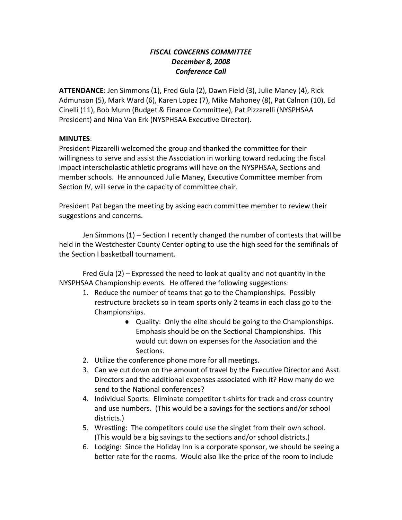## *FISCAL CONCERNS COMMITTEE December 8, 2008 Conference Call*

**ATTENDANCE**: Jen Simmons (1), Fred Gula (2), Dawn Field (3), Julie Maney (4), Rick Admunson (5), Mark Ward (6), Karen Lopez (7), Mike Mahoney (8), Pat Calnon (10), Ed Cinelli (11), Bob Munn (Budget & Finance Committee), Pat Pizzarelli (NYSPHSAA President) and Nina Van Erk (NYSPHSAA Executive Director).

#### **MINUTES**:

President Pizzarelli welcomed the group and thanked the committee for their willingness to serve and assist the Association in working toward reducing the fiscal impact interscholastic athletic programs will have on the NYSPHSAA, Sections and member schools. He announced Julie Maney, Executive Committee member from Section IV, will serve in the capacity of committee chair.

President Pat began the meeting by asking each committee member to review their suggestions and concerns.

Jen Simmons (1) – Section I recently changed the number of contests that will be held in the Westchester County Center opting to use the high seed for the semifinals of the Section I basketball tournament.

Fred Gula (2) – Expressed the need to look at quality and not quantity in the NYSPHSAA Championship events. He offered the following suggestions:

- 1. Reduce the number of teams that go to the Championships. Possibly restructure brackets so in team sports only 2 teams in each class go to the Championships.
	- ♦ Quality: Only the elite should be going to the Championships. Emphasis should be on the Sectional Championships. This would cut down on expenses for the Association and the Sections.
- 2. Utilize the conference phone more for all meetings.
- 3. Can we cut down on the amount of travel by the Executive Director and Asst. Directors and the additional expenses associated with it? How many do we send to the National conferences?
- 4. Individual Sports: Eliminate competitor t‐shirts for track and cross country and use numbers. (This would be a savings for the sections and/or school districts.)
- 5. Wrestling: The competitors could use the singlet from their own school. (This would be a big savings to the sections and/or school districts.)
- 6. Lodging: Since the Holiday Inn is a corporate sponsor, we should be seeing a better rate for the rooms. Would also like the price of the room to include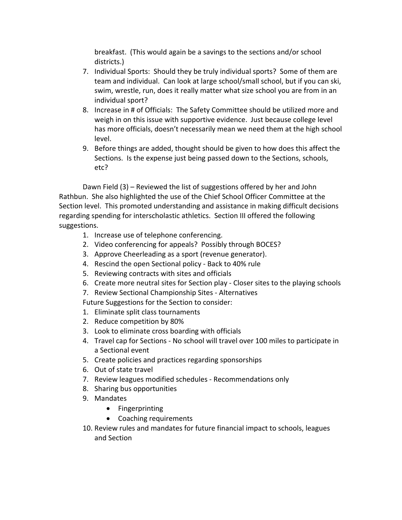breakfast. (This would again be a savings to the sections and/or school districts.)

- 7. Individual Sports: Should they be truly individual sports? Some of them are team and individual. Can look at large school/small school, but if you can ski, swim, wrestle, run, does it really matter what size school you are from in an individual sport?
- 8. Increase in # of Officials: The Safety Committee should be utilized more and weigh in on this issue with supportive evidence. Just because college level has more officials, doesn't necessarily mean we need them at the high school level.
- 9. Before things are added, thought should be given to how does this affect the Sections. Is the expense just being passed down to the Sections, schools, etc?

Dawn Field (3) – Reviewed the list of suggestions offered by her and John Rathbun. She also highlighted the use of the Chief School Officer Committee at the Section level. This promoted understanding and assistance in making difficult decisions regarding spending for interscholastic athletics. Section III offered the following suggestions.

- 1. Increase use of telephone conferencing.
- 2. Video conferencing for appeals? Possibly through BOCES?
- 3. Approve Cheerleading as a sport (revenue generator).
- 4. Rescind the open Sectional policy ‐ Back to 40% rule
- 5. Reviewing contracts with sites and officials
- 6. Create more neutral sites for Section play ‐ Closer sites to the playing schools
- 7. Review Sectional Championship Sites ‐ Alternatives
- Future Suggestions for the Section to consider:
- 1. Eliminate split class tournaments
- 2. Reduce competition by 80%
- 3. Look to eliminate cross boarding with officials
- 4. Travel cap for Sections ‐ No school will travel over 100 miles to participate in a Sectional event
- 5. Create policies and practices regarding sponsorships
- 6. Out of state travel
- 7. Review leagues modified schedules ‐ Recommendations only
- 8. Sharing bus opportunities
- 9. Mandates
	- Fingerprinting
	- Coaching requirements
- 10. Review rules and mandates for future financial impact to schools, leagues and Section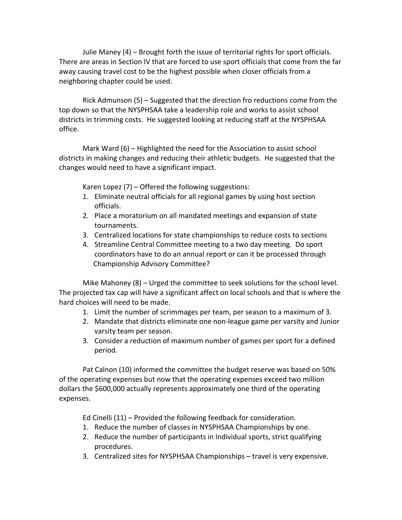Julie Maney (4) – Brought forth the issue of territorial rights for sport officials. There are areas in Section IV that are forced to use sport officials that come from the far away causing travel cost to be the highest possible when closer officials from a neighboring chapter could be used.

Rick Admunson (5) – Suggested that the direction fro reductions come from the top down so that the NYSPHSAA take a leadership role and works to assist school districts in trimming costs. He suggested looking at reducing staff at the NYSPHSAA office.

Mark Ward (6) – Highlighted the need for the Association to assist school districts in making changes and reducing their athletic budgets. He suggested that the changes would need to have a significant impact.

Karen Lopez (7) – Offered the following suggestions:

- 1. Eliminate neutral officials for all regional games by using host section officials.
- 2. Place a moratorium on all mandated meetings and expansion of state tournaments.
- 3. Centralized locations for state championships to reduce costs to sections
- 4. Streamline Central Committee meeting to a two day meeting. Do sport coordinators have to do an annual report or can it be processed through Championship Advisory Committee?

Mike Mahoney (8) – Urged the committee to seek solutions for the school level. The projected tax cap will have a significant affect on local schools and that is where the hard choices will need to be made.

- 1. Limit the number of scrimmages per team, per season to a maximum of 3.
- 2. Mandate that districts eliminate one non-league game per varsity and Junior varsity team per season.
- 3. Consider a reduction of maximum number of games per sport for a defined period.

Pat Calnon (10) informed the committee the budget reserve was based on 50% of the operating expenses but now that the operating expenses exceed two million dollars the \$600,000 actually represents approximately one third of the operating expenses.

Ed Cinelli (11) – Provided the following feedback for consideration.

- 1. Reduce the number of classes in NYSPHSAA Championships by one.
- 2. Reduce the number of participants in Individual sports, strict qualifying procedures.
- 3. Centralized sites for NYSPHSAA Championships travel is very expensive.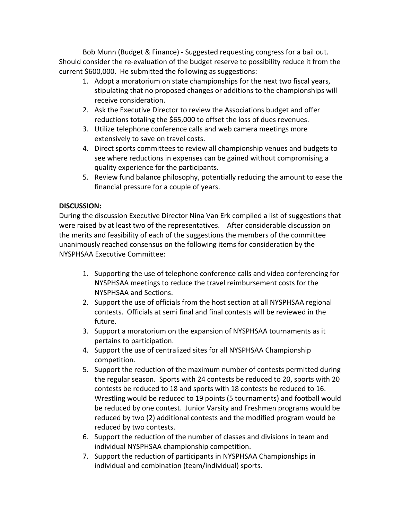Bob Munn (Budget & Finance) ‐ Suggested requesting congress for a bail out. Should consider the re‐evaluation of the budget reserve to possibility reduce it from the current \$600,000. He submitted the following as suggestions:

- 1. Adopt a moratorium on state championships for the next two fiscal years, stipulating that no proposed changes or additions to the championships will receive consideration.
- 2. Ask the Executive Director to review the Associations budget and offer reductions totaling the \$65,000 to offset the loss of dues revenues.
- 3. Utilize telephone conference calls and web camera meetings more extensively to save on travel costs.
- 4. Direct sports committees to review all championship venues and budgets to see where reductions in expenses can be gained without compromising a quality experience for the participants.
- 5. Review fund balance philosophy, potentially reducing the amount to ease the financial pressure for a couple of years.

# **DISCUSSION:**

During the discussion Executive Director Nina Van Erk compiled a list of suggestions that were raised by at least two of the representatives. After considerable discussion on the merits and feasibility of each of the suggestions the members of the committee unanimously reached consensus on the following items for consideration by the NYSPHSAA Executive Committee:

- 1. Supporting the use of telephone conference calls and video conferencing for NYSPHSAA meetings to reduce the travel reimbursement costs for the NYSPHSAA and Sections.
- 2. Support the use of officials from the host section at all NYSPHSAA regional contests. Officials at semi final and final contests will be reviewed in the future.
- 3. Support a moratorium on the expansion of NYSPHSAA tournaments as it pertains to participation.
- 4. Support the use of centralized sites for all NYSPHSAA Championship competition.
- 5. Support the reduction of the maximum number of contests permitted during the regular season. Sports with 24 contests be reduced to 20, sports with 20 contests be reduced to 18 and sports with 18 contests be reduced to 16. Wrestling would be reduced to 19 points (5 tournaments) and football would be reduced by one contest. Junior Varsity and Freshmen programs would be reduced by two (2) additional contests and the modified program would be reduced by two contests.
- 6. Support the reduction of the number of classes and divisions in team and individual NYSPHSAA championship competition.
- 7. Support the reduction of participants in NYSPHSAA Championships in individual and combination (team/individual) sports.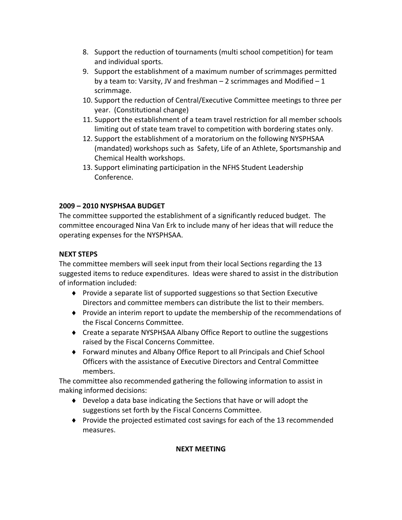- 8. Support the reduction of tournaments (multi school competition) for team and individual sports.
- 9. Support the establishment of a maximum number of scrimmages permitted by a team to: Varsity, JV and freshman  $-2$  scrimmages and Modified  $-1$ scrimmage.
- 10. Support the reduction of Central/Executive Committee meetings to three per year. (Constitutional change)
- 11. Support the establishment of a team travel restriction for all member schools limiting out of state team travel to competition with bordering states only.
- 12. Support the establishment of a moratorium on the following NYSPHSAA (mandated) workshops such as Safety, Life of an Athlete, Sportsmanship and Chemical Health workshops.
- 13. Support eliminating participation in the NFHS Student Leadership Conference.

# **2009 – 2010 NYSPHSAA BUDGET**

The committee supported the establishment of a significantly reduced budget. The committee encouraged Nina Van Erk to include many of her ideas that will reduce the operating expenses for the NYSPHSAA.

# **NEXT STEPS**

The committee members will seek input from their local Sections regarding the 13 suggested items to reduce expenditures. Ideas were shared to assist in the distribution of information included:

- ♦ Provide a separate list of supported suggestions so that Section Executive Directors and committee members can distribute the list to their members.
- ♦ Provide an interim report to update the membership of the recommendations of the Fiscal Concerns Committee.
- ♦ Create a separate NYSPHSAA Albany Office Report to outline the suggestions raised by the Fiscal Concerns Committee.
- ♦ Forward minutes and Albany Office Report to all Principals and Chief School Officers with the assistance of Executive Directors and Central Committee members.

The committee also recommended gathering the following information to assist in making informed decisions:

- ♦ Develop a data base indicating the Sections that have or will adopt the suggestions set forth by the Fiscal Concerns Committee.
- ♦ Provide the projected estimated cost savings for each of the 13 recommended measures.

## **NEXT MEETING**